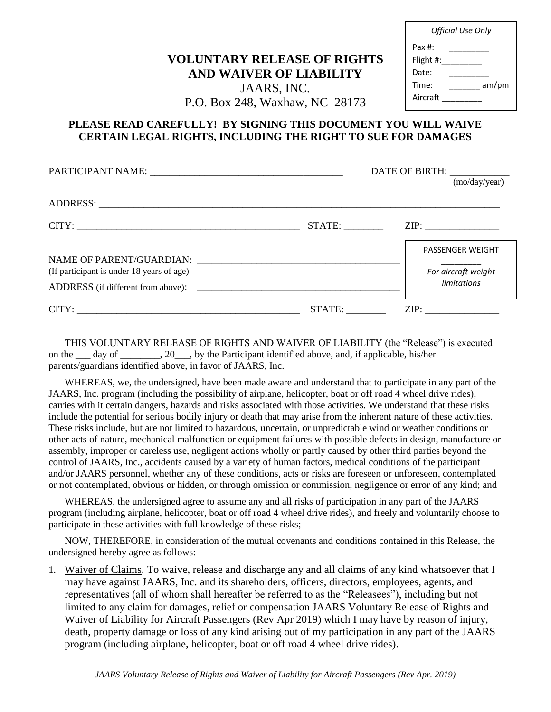## **VOLUNTARY RELEASE OF RIGHTS AND WAIVER OF LIABILITY**

*Official Use Only* Pax #: \_\_\_\_\_\_\_\_\_ Flight #: Date: Time: am/pm Aircraft \_\_\_\_\_\_\_\_\_

## JAARS, INC. P.O. Box 248, Waxhaw, NC 28173

## **PLEASE READ CAREFULLY! BY SIGNING THIS DOCUMENT YOU WILL WAIVE CERTAIN LEGAL RIGHTS, INCLUDING THE RIGHT TO SUE FOR DAMAGES**

|                                           | DATE OF BIRTH: |                         |
|-------------------------------------------|----------------|-------------------------|
|                                           |                | (mo/day/year)           |
|                                           |                |                         |
|                                           | STATE:         |                         |
|                                           |                | <b>PASSENGER WEIGHT</b> |
| (If participant is under 18 years of age) |                | For aircraft weight     |
| ADDRESS (if different from above):        |                | limitations             |
|                                           | STATE:         | ZIP:                    |

THIS VOLUNTARY RELEASE OF RIGHTS AND WAIVER OF LIABILITY (the "Release") is executed on the \_\_\_ day of \_\_\_\_\_\_, 20\_\_\_, by the Participant identified above, and, if applicable, his/her parents/guardians identified above, in favor of JAARS, Inc.

WHEREAS, we, the undersigned, have been made aware and understand that to participate in any part of the JAARS, Inc. program (including the possibility of airplane, helicopter, boat or off road 4 wheel drive rides), carries with it certain dangers, hazards and risks associated with those activities. We understand that these risks include the potential for serious bodily injury or death that may arise from the inherent nature of these activities. These risks include, but are not limited to hazardous, uncertain, or unpredictable wind or weather conditions or other acts of nature, mechanical malfunction or equipment failures with possible defects in design, manufacture or assembly, improper or careless use, negligent actions wholly or partly caused by other third parties beyond the control of JAARS, Inc., accidents caused by a variety of human factors, medical conditions of the participant and/or JAARS personnel, whether any of these conditions, acts or risks are foreseen or unforeseen, contemplated or not contemplated, obvious or hidden, or through omission or commission, negligence or error of any kind; and

WHEREAS, the undersigned agree to assume any and all risks of participation in any part of the JAARS program (including airplane, helicopter, boat or off road 4 wheel drive rides), and freely and voluntarily choose to participate in these activities with full knowledge of these risks;

NOW, THEREFORE, in consideration of the mutual covenants and conditions contained in this Release, the undersigned hereby agree as follows:

1. Waiver of Claims. To waive, release and discharge any and all claims of any kind whatsoever that I may have against JAARS, Inc. and its shareholders, officers, directors, employees, agents, and representatives (all of whom shall hereafter be referred to as the "Releasees"), including but not limited to any claim for damages, relief or compensation JAARS Voluntary Release of Rights and Waiver of Liability for Aircraft Passengers (Rev Apr 2019) which I may have by reason of injury, death, property damage or loss of any kind arising out of my participation in any part of the JAARS program (including airplane, helicopter, boat or off road 4 wheel drive rides).